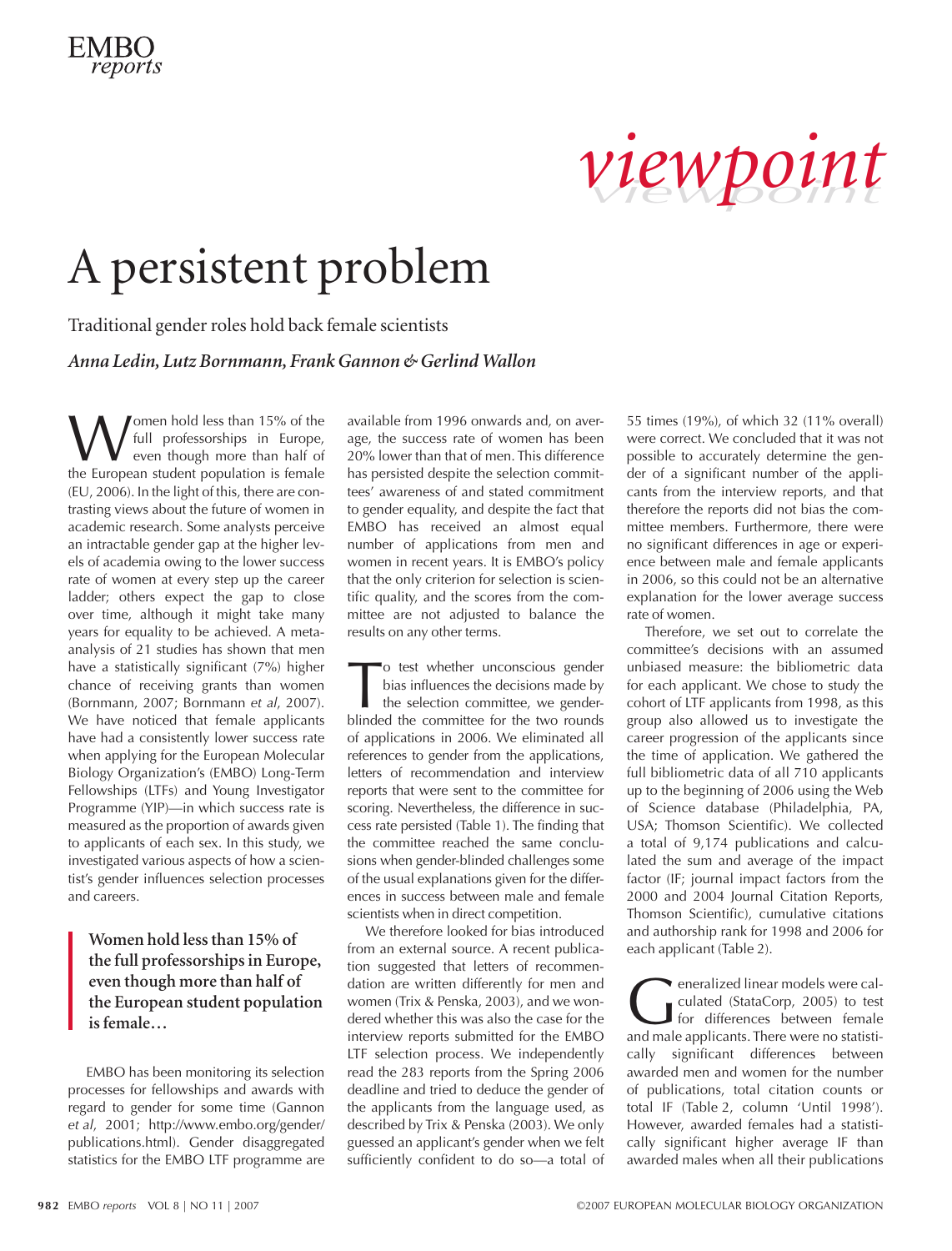

# A persistent problem

Traditional gender roles hold back female scientists

### *Anna Ledin, Lutz Bornmann, Frank Gannon & Gerlind Wallon*

Women hold less than 15% of the<br>even though more than half of<br>the European student population is female full professorships in Europe, the European student population is female (EU, 2006). In the light of this, there are contrasting views about the future of women in academic research. Some analysts perceive an intractable gender gap at the higher levels of academia owing to the lower success rate of women at every step up the career ladder; others expect the gap to close over time, although it might take many years for equality to be achieved. A metaanalysis of 21 studies has shown that men have a statistically significant (7%) higher chance of receiving grants than women (Bornmann, 2007; Bornmann *et al*, 2007). We have noticed that female applicants have had a consistently lower success rate when applying for the European Molecular Biology Organization's (EMBO) Long-Term Fellowships (LTFs) and Young Investigator Programme (YIP)—in which success rate is measured as the proportion of awards given to applicants of each sex. In this study, we investigated various aspects of how a scientist's gender influences selection processes and careers.

### **Women hold less than 15% of the full professorships in Europe, even though more than half of the European student population is female…**

EMBO has been monitoring its selection processes for fellowships and awards with regard to gender for some time (Gannon *et al*, 2001; [http://www.embo.org/gender/](http://www.embo.org/gender/publications.html) [publications.html\)](http://www.embo.org/gender/publications.html). Gender disaggregated statistics for the EMBO LTF programme are

available from 1996 onwards and, on average, the success rate of women has been 20% lower than that of men. This difference has persisted despite the selection committees' awareness of and stated commitment to gender equality, and despite the fact that EMBO has received an almost equal number of applications from men and women in recent years. It is EMBO's policy that the only criterion for selection is scientific quality, and the scores from the committee are not adjusted to balance the results on any other terms.

To test whether unconscious gender bias influences the decisions made by the selection committee, we genderblinded the committee for the two rounds of applications in 2006. We eliminated all references to gender from the applications, letters of recommendation and interview reports that were sent to the committee for scoring. Nevertheless, the difference in success rate persisted (Table 1). The finding that the committee reached the same conclusions when gender-blinded challenges some of the usual explanations given for the differences in success between male and female scientists when in direct competition.

We therefore looked for bias introduced from an external source. A recent publication suggested that letters of recommendation are written differently for men and women (Trix & Penska, 2003), and we wondered whether this was also the case for the interview reports submitted for the EMBO LTF selection process. We independently read the 283 reports from the Spring 2006 deadline and tried to deduce the gender of the applicants from the language used, as described by Trix & Penska (2003). We only guessed an applicant's gender when we felt sufficiently confident to do so—a total of 55 times (19%), of which 32 (11% overall) were correct. We concluded that it was not possible to accurately determine the gender of a significant number of the applicants from the interview reports, and that therefore the reports did not bias the committee members. Furthermore, there were no significant differences in age or experience between male and female applicants in 2006, so this could not be an alternative explanation for the lower average success rate of women.

Therefore, we set out to correlate the committee's decisions with an assumed unbiased measure: the bibliometric data for each applicant. We chose to study the cohort of LTF applicants from 1998, as this group also allowed us to investigate the career progression of the applicants since the time of application. We gathered the full bibliometric data of all 710 applicants up to the beginning of 2006 using the Web of Science database (Philadelphia, PA, USA; Thomson Scientific). We collected a total of 9,174 publications and calculated the sum and average of the impact factor (IF; journal impact factors from the 2000 and 2004 Journal Citation Reports, Thomson Scientific), cumulative citations and authorship rank for 1998 and 2006 for each applicant (Table 2).

eneralized linear models were cal-<br>culated (StataCorp, 2005) to test<br>for differences between female<br>and male applicants. There were no statistic culated (StataCorp, 2005) to test for differences between female and male applicants. There were no statistically significant differences between awarded men and women for the number of publications, total citation counts or total IF (Table 2, column 'Until 1998'). However, awarded females had a statistically significant higher average IF than awarded males when all their publications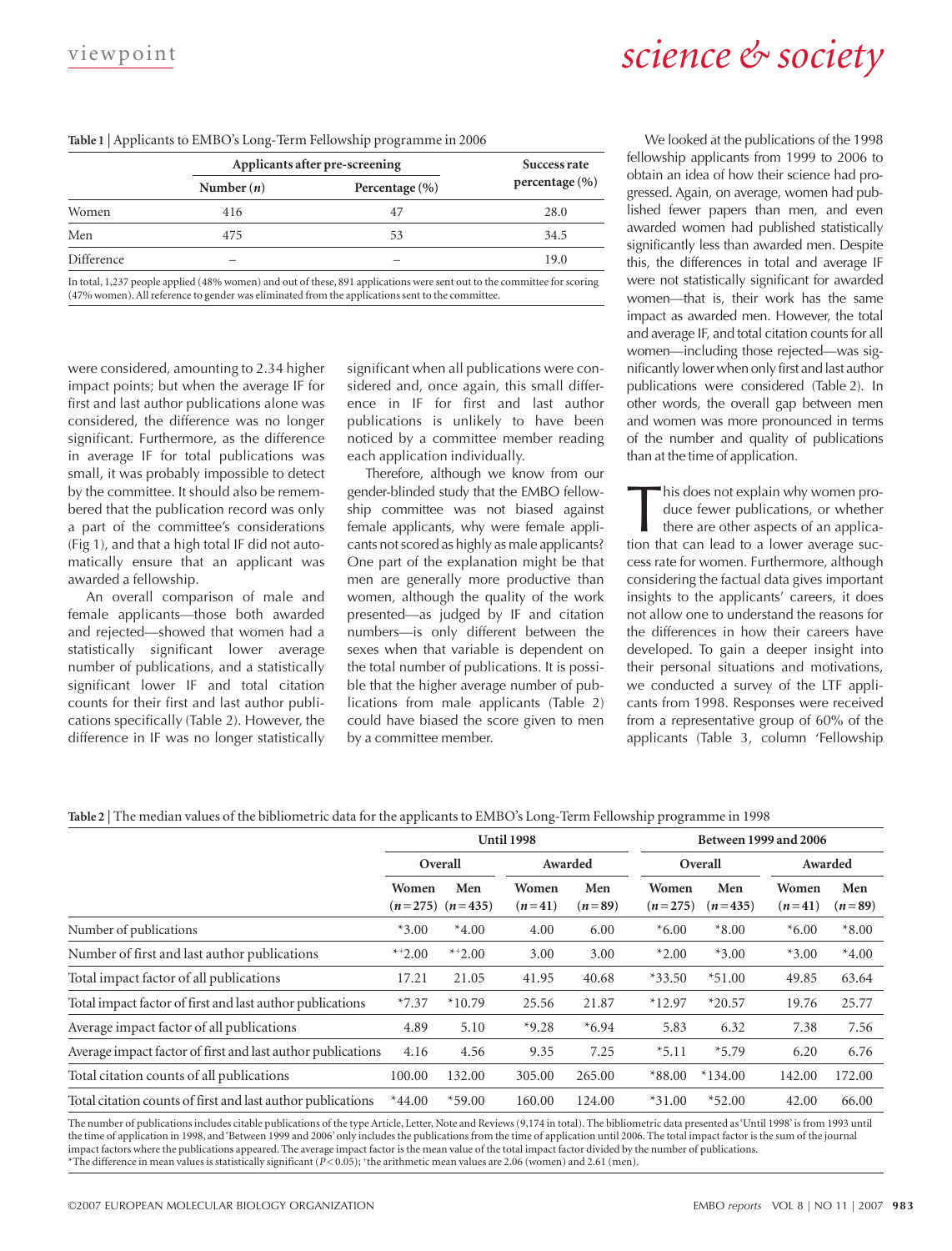## v iew point *science & society*

### **Table 1** | Applicants to EMBO's Long-Term Fellowship programme in 2006

|            | Applicants after pre-screening | Success rate                                                                                                             |                   |  |
|------------|--------------------------------|--------------------------------------------------------------------------------------------------------------------------|-------------------|--|
|            | Number $(n)$                   | Percentage $(\% )$                                                                                                       | $percentage (\%)$ |  |
| Women      | 416                            | 47                                                                                                                       | 28.0              |  |
| Men        | 475                            | 53                                                                                                                       | 34.5              |  |
| Difference |                                |                                                                                                                          | 19.0              |  |
|            |                                | In total, 1,237 people applied (48% women) and out of these, 891 applications were sent out to the committee for scoring |                   |  |

(47% women). All reference to gender was eliminated from the applications sent to the committee.

were considered, amounting to 2.34 higher impact points; but when the average IF for first and last author publications alone was considered, the difference was no longer significant. Furthermore, as the difference in average IF for total publications was small, it was probably impossible to detect by the committee. It should also be remembered that the publication record was only a part of the committee's considerations (Fig 1), and that a high total IF did not automatically ensure that an applicant was awarded a fellowship.

An overall comparison of male and female applicants—those both awarded and rejected—showed that women had a statistically significant lower average number of publications, and a statistically significant lower IF and total citation counts for their first and last author publications specifically (Table 2). However, the difference in IF was no longer statistically significant when all publications were considered and, once again, this small difference in IF for first and last author publications is unlikely to have been noticed by a committee member reading each application individually.

Therefore, although we know from our gender-blinded study that the EMBO fellowship committee was not biased against female applicants, why were female applicants not scored as highly as male applicants? One part of the explanation might be that men are generally more productive than women, although the quality of the work presented—as judged by IF and citation numbers—is only different between the sexes when that variable is dependent on the total number of publications. It is possible that the higher average number of publications from male applicants (Table 2) could have biased the score given to men by a committee member.

We looked at the publications of the 1998 fellowship applicants from 1999 to 2006 to obtain an idea of how their science had progressed. Again, on average, women had published fewer papers than men, and even awarded women had published statistically significantly less than awarded men. Despite this, the differences in total and average IF were not statistically significant for awarded women—that is, their work has the same impact as awarded men. However, the total and average IF, and total citation counts for all women—including those rejected—was significantly lower when only first and last author publications were considered (Table 2). In other words, the overall gap between men and women was more pronounced in terms of the number and quality of publications than at the time of application.

This does not explain why women pro-<br>duce fewer publications, or whether<br>there are other aspects of an applica-<br>tion that can lead to a lower average sucduce fewer publications, or whether tion that can lead to a lower average success rate for women. Furthermore, although considering the factual data gives important insights to the applicants' careers, it does not allow one to understand the reasons for the differences in how their careers have developed. To gain a deeper insight into their personal situations and motivations, we conducted a survey of the LTF applicants from 1998. Responses were received from a representative group of 60% of the applicants (Table 3, column 'Fellowship

### **Table 2** | The median values of the bibliometric data for the applicants to EMBO's Long-Term Fellowship programme in 1998

|                                                             | <b>Until 1998</b> |                            |                   |                 | Between 1999 and 2006 |                  |                   |                 |
|-------------------------------------------------------------|-------------------|----------------------------|-------------------|-----------------|-----------------------|------------------|-------------------|-----------------|
|                                                             | Overall           |                            | Awarded           |                 | Overall               |                  | Awarded           |                 |
|                                                             | Women             | Men<br>$(n=275)$ $(n=435)$ | Women<br>$(n=41)$ | Men<br>$(n=89)$ | Women<br>$(n=275)$    | Men<br>$(n=435)$ | Women<br>$(n=41)$ | Men<br>$(n=89)$ |
| Number of publications                                      | $*3.00$           | $*4.00$                    | 4.00              | 6.00            | $*6.00$               | $*8.00$          | $*6.00$           | $*8.00$         |
| Number of first and last author publications                | $*+2.00$          | $*+2.00$                   | 3.00              | 3.00            | $*2.00$               | $*3.00$          | $*3.00$           | $*4.00$         |
| Total impact factor of all publications                     | 17.21             | 21.05                      | 41.95             | 40.68           | $*33.50$              | $*51.00$         | 49.85             | 63.64           |
| Total impact factor of first and last author publications   | $*7.37$           | $*10.79$                   | 25.56             | 21.87           | $*12.97$              | $*20.57$         | 19.76             | 25.77           |
| Average impact factor of all publications                   | 4.89              | 5.10                       | $*9.28$           | $*6.94$         | 5.83                  | 6.32             | 7.38              | 7.56            |
| Average impact factor of first and last author publications | 4.16              | 4.56                       | 9.35              | 7.25            | $*5.11$               | $*5.79$          | 6.20              | 6.76            |
| Total citation counts of all publications                   | 100.00            | 132.00                     | 305.00            | 265.00          | $*88.00$              | $*134.00$        | 142.00            | 172.00          |
| Total citation counts of first and last author publications | $*44.00$          | $*59.00$                   | 160.00            | 124.00          | $*31.00$              | $*52.00$         | 42.00             | 66.00           |

The number of publications includes citable publications of the type Article, Letter, Note and Reviews (9,174 in total). The bibliometric data presented as 'Until 1998' is from 1993 until the time of application in 1998, and 'Between 1999 and 2006' only includes the publications from the time of application until 2006. The total impact factor is the sum of the journal impact factors where the publications appeared. The average impact factor is the mean value of the total impact factor divided by the number of publications. \*The difference in mean values is statistically significant (*P*<0.05); +the arithmetic mean values are 2.06 (women) and 2.61 (men).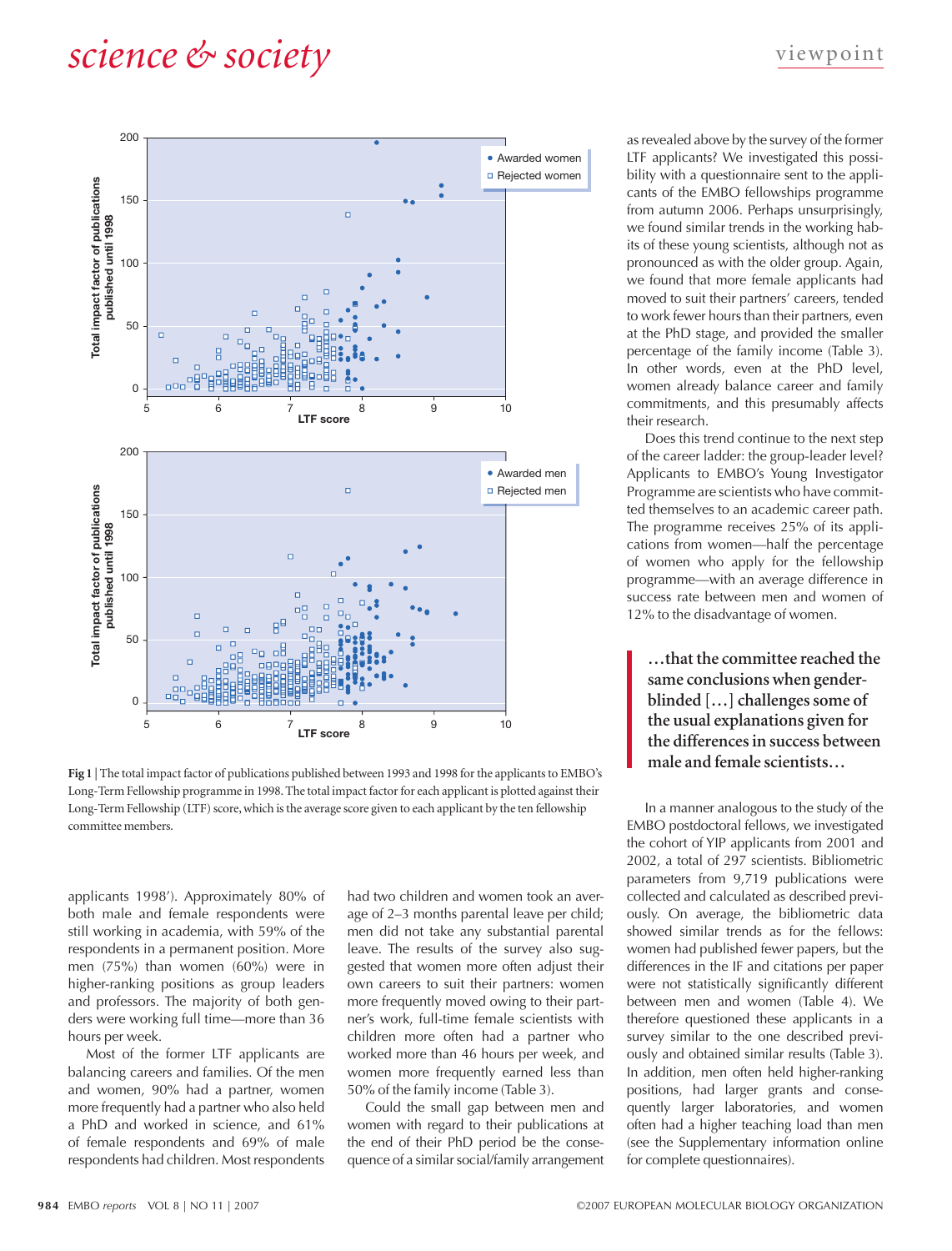### *science & society* viewpoint





applicants 1998'). Approximately 80% of both male and female respondents were still working in academia, with 59% of the respondents in a permanent position. More men (75%) than women (60%) were in higher-ranking positions as group leaders and professors. The majority of both genders were working full time—more than 36 hours per week.

Most of the former LTF applicants are balancing careers and families. Of the men and women, 90% had a partner, women more frequently had a partner who also held a PhD and worked in science, and 61% of female respondents and 69% of male respondents had children. Most respondents

had two children and women took an average of 2–3 months parental leave per child; men did not take any substantial parental leave. The results of the survey also suggested that women more often adjust their own careers to suit their partners: women more frequently moved owing to their partner's work, full-time female scientists with children more often had a partner who worked more than 46 hours per week, and women more frequently earned less than 50% of the family income (Table 3).

Could the small gap between men and women with regard to their publications at the end of their PhD period be the consequence of a similar social/family arrangement as revealed above by the survey of the former LTF applicants? We investigated this possibility with a questionnaire sent to the applicants of the EMBO fellowships programme from autumn 2006. Perhaps unsurprisingly, we found similar trends in the working habits of these young scientists, although not as pronounced as with the older group. Again, we found that more female applicants had moved to suit their partners' careers, tended to work fewer hours than their partners, even at the PhD stage, and provided the smaller percentage of the family income (Table 3). In other words, even at the PhD level, women already balance career and family commitments, and this presumably affects their research.

Does this trend continue to the next step of the career ladder: the group-leader level? Applicants to EMBO's Young Investigator Programme are scientists who have committed themselves to an academic career path. The programme receives 25% of its applications from women—half the percentage of women who apply for the fellowship programme—with an average difference in success rate between men and women of 12% to the disadvantage of women.

**…that the committee reached the same conclusions when genderblinded […] challenges some of the usual explanations given for the differences in success between male and female scientists…**

In a manner analogous to the study of the EMBO postdoctoral fellows, we investigated the cohort of YIP applicants from 2001 and 2002, a total of 297 scientists. Bibliometric parameters from 9,719 publications were collected and calculated as described previously. On average, the bibliometric data showed similar trends as for the fellows: women had published fewer papers, but the differences in the IF and citations per paper were not statistically significantly different between men and women (Table 4). We therefore questioned these applicants in a survey similar to the one described previously and obtained similar results (Table 3). In addition, men often held higher-ranking positions, had larger grants and consequently larger laboratories, and women often had a higher teaching load than men (see the Supplementary information online for complete questionnaires).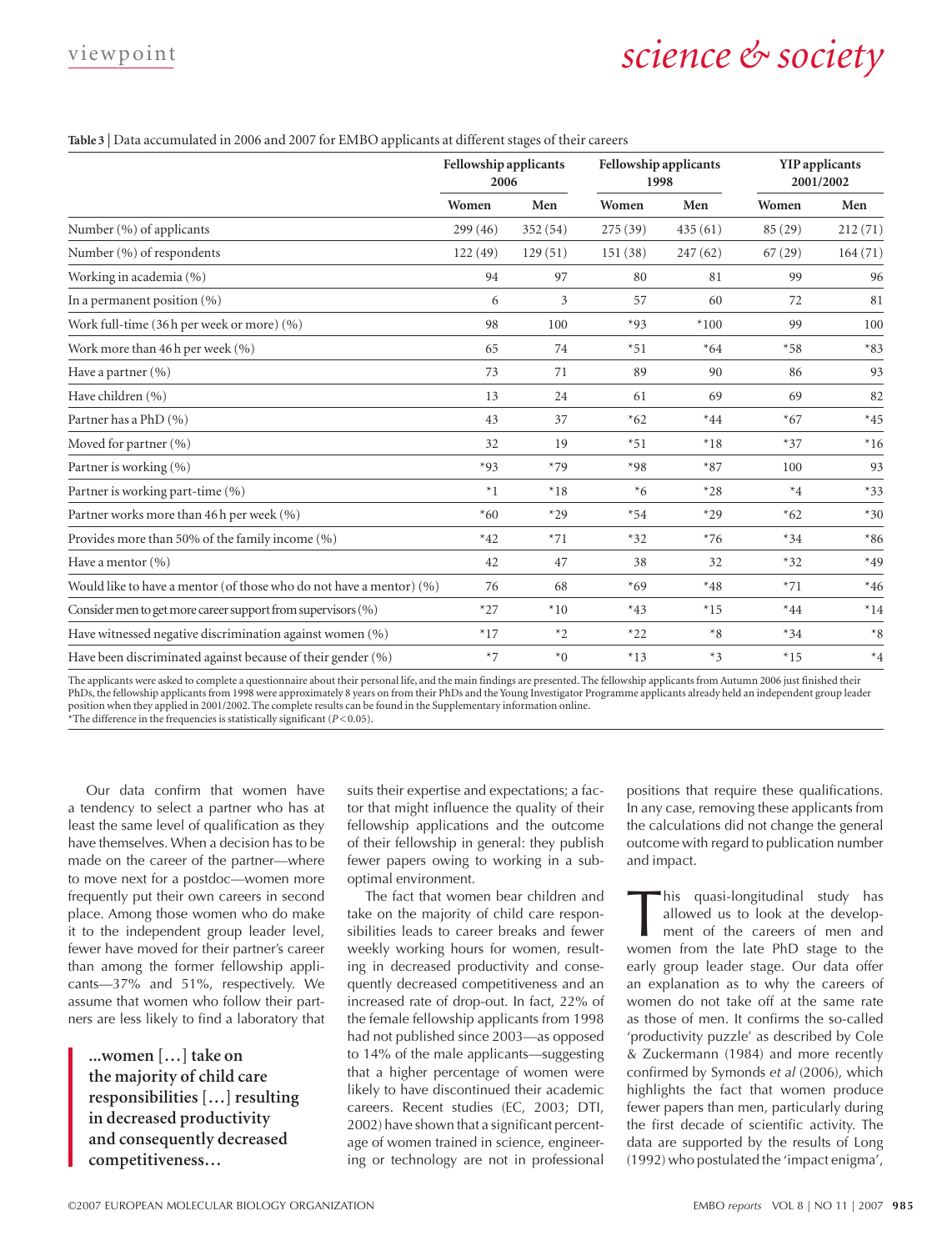## v iew point *science & society*

### **Table 3** | Data accumulated in 2006 and 2007 for EMBO applicants at different stages of their careers

|                                                                     |         | Fellowship applicants<br>2006 |          | Fellowship applicants<br>1998 |          | <b>YIP</b> applicants<br>2001/2002 |  |
|---------------------------------------------------------------------|---------|-------------------------------|----------|-------------------------------|----------|------------------------------------|--|
|                                                                     | Women   | Men                           | Women    | Men                           | Women    | Men                                |  |
| Number (%) of applicants                                            | 299(46) | 352(54)                       | 275(39)  | 435(61)                       | 85(29)   | 212(71)                            |  |
| Number (%) of respondents                                           | 122(49) | 129(51)                       | 151(38)  | 247(62)                       | 67(29)   | 164(71)                            |  |
| Working in academia (%)                                             | 94      | 97                            | 80       | 81                            | 99       | 96                                 |  |
| In a permanent position $(\%)$                                      | 6       | 3                             | 57       | 60                            | 72       | 81                                 |  |
| Work full-time (36 h per week or more) (%)                          | 98      | 100                           | $*93$    | $*100$                        | 99       | 100                                |  |
| Work more than 46 h per week (%)                                    | 65      | 74                            | $*51$    | $*64$                         | $*58$    | $*83$                              |  |
| Have a partner $(\% )$                                              | 73      | 71                            | 89       | 90                            | 86       | 93                                 |  |
| Have children (%)                                                   | 13      | 24                            | 61       | 69                            | 69       | 82                                 |  |
| Partner has a PhD (%)                                               | 43      | 37                            | $*62$    | $*44$                         | $*67$    | $*45$                              |  |
| Moved for partner (%)                                               | 32      | 19                            | $*51$    | $*18$                         | $*37$    | $*16$                              |  |
| Partner is working (%)                                              | $*93$   | $*79$                         | $*98$    | $*87$                         | 100      | 93                                 |  |
| Partner is working part-time (%)                                    | $*_{1}$ | $*18$                         | $*_{6}$  | $*28$                         | $*_{4}$  | $*33$                              |  |
| Partner works more than 46 h per week (%)                           | $*60$   | $*29$                         | $*_{54}$ | $*29$                         | $*62$    | $*30$                              |  |
| Provides more than 50% of the family income (%)                     | $*42$   | $*71$                         | $*32$    | $*76$                         | $*34$    | $*86$                              |  |
| Have a mentor $(\% )$                                               | 42      | 47                            | 38       | 32                            | $*32$    | $*49$                              |  |
| Would like to have a mentor (of those who do not have a mentor) (%) | 76      | 68                            | $*69$    | $*48$                         | $*_{71}$ | $*46$                              |  |
| Consider men to get more career support from supervisors $(\%)$     | $*27$   | $*10$                         | $*43$    | $*15$                         | $*44$    | $*14$                              |  |
| Have witnessed negative discrimination against women (%)            | $*17$   | $*_{2}$                       | $*22$    | $*8$                          | $*34$    | $*8$                               |  |
| Have been discriminated against because of their gender (%)         | $*7$    | $*_{0}$                       | $*13$    | $*3$                          | $*15$    | $*_{4}$                            |  |

The applicants were asked to complete a questionnaire about their personal life, and the main findings are presented. The fellowship applicants from Autumn 2006 just finished their PhDs, the fellowship applicants from 1998 were approximately 8 years on from their PhDs and the Young Investigator Programme applicants already held an independent group leader position when they applied in 2001/2002. The complete results can be found in the Supplementary information online. \*The difference in the frequencies is statistically significant (*P*<0.05).

Our data confirm that women have a tendency to select a partner who has at least the same level of qualification as they have themselves. When a decision has to be made on the career of the partner—where to move next for a postdoc—women more frequently put their own careers in second place. Among those women who do make it to the independent group leader level, fewer have moved for their partner's career than among the former fellowship applicants—37% and 51%, respectively. We assume that women who follow their partners are less likely to find a laboratory that

**...women […] take on the majority of child care responsibilities […] resulting in decreased productivity and consequently decreased competitiveness…**

suits their expertise and expectations; a factor that might influence the quality of their fellowship applications and the outcome of their fellowship in general: they publish fewer papers owing to working in a suboptimal environment.

The fact that women bear children and take on the majority of child care responsibilities leads to career breaks and fewer weekly working hours for women, resulting in decreased productivity and consequently decreased competitiveness and an increased rate of drop-out. In fact, 22% of the female fellowship applicants from 1998 had not published since 2003—as opposed to 14% of the male applicants—suggesting that a higher percentage of women were likely to have discontinued their academic careers. Recent studies (EC, 2003; DTI, 2002) have shown that a significant percentage of women trained in science, engineering or technology are not in professional positions that require these qualifications. In any case, removing these applicants from the calculations did not change the general outcome with regard to publication number and impact.

This quasi-longitudinal study has allowed us to look at the development of the careers of men and women from the late PhD stage to the early group leader stage. Our data offer an explanation as to why the careers of women do not take off at the same rate as those of men. It confirms the so-called 'productivity puzzle' as described by Cole & Zuckermann (1984) and more recently confirmed by Symonds *et al* (2006), which highlights the fact that women produce fewer papers than men, particularly during the first decade of scientific activity. The data are supported by the results of Long (1992) who postulated the 'impact enigma',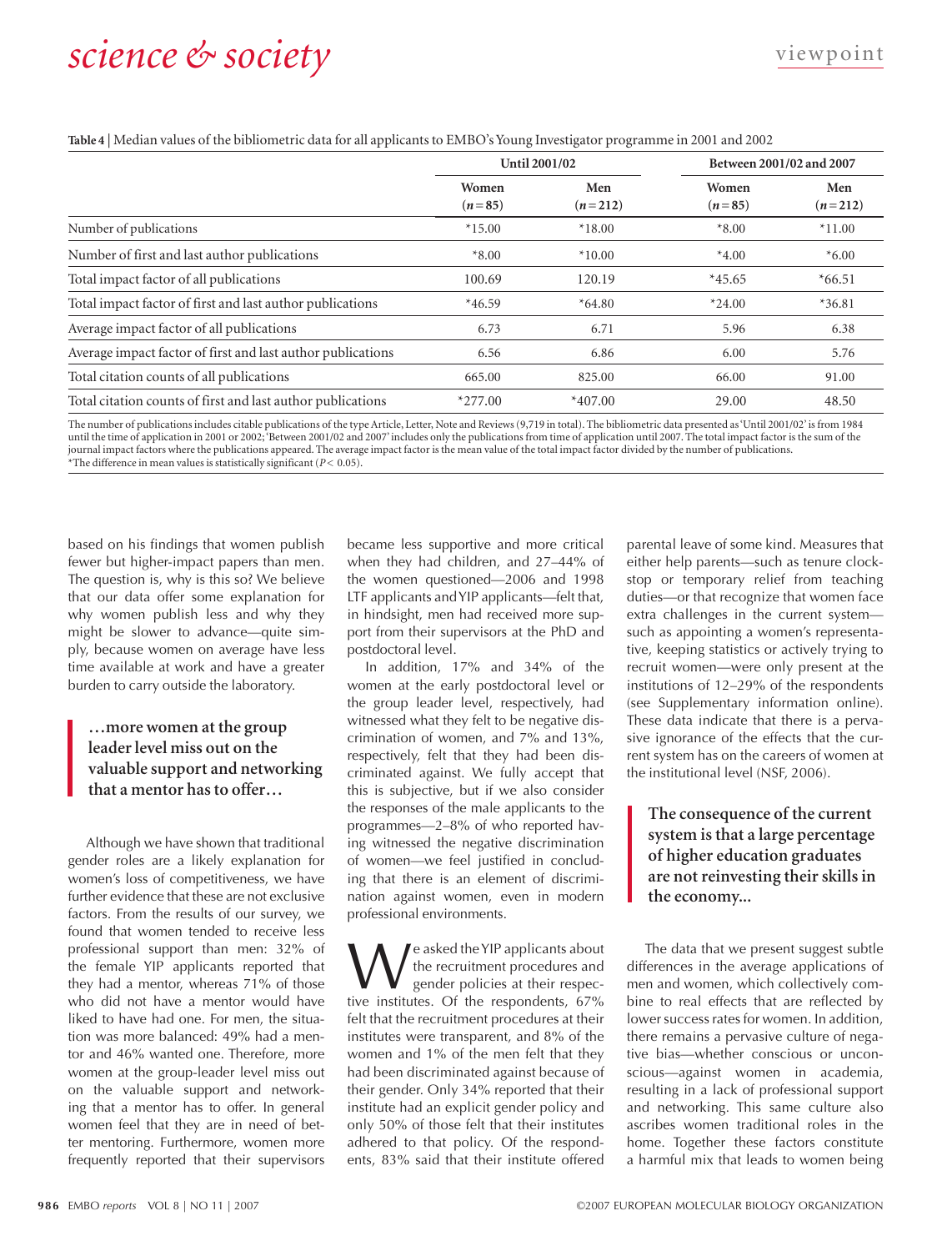## *science & society* viewpoint

**Table 4** | Median values of the bibliometric data for all applicants to EMBO's Young Investigator programme in 2001 and 2002

|                                                             | <b>Until 2001/02</b> |                  |                   | Between 2001/02 and 2007 |
|-------------------------------------------------------------|----------------------|------------------|-------------------|--------------------------|
|                                                             | Women<br>$(n=85)$    | Men<br>$(n=212)$ | Women<br>$(n=85)$ | Men<br>$(n=212)$         |
| Number of publications                                      | $*15.00$             | $*18.00$         | $*8.00$           | $*11.00$                 |
| Number of first and last author publications                | $*8.00$              | $*10.00$         | $*4.00$           | $*6.00$                  |
| Total impact factor of all publications                     | 100.69               | 120.19           | $*45.65$          | $*66.51$                 |
| Total impact factor of first and last author publications   | $*46.59$             | $*64.80$         | $*24.00$          | $*36.81$                 |
| Average impact factor of all publications                   | 6.73                 | 6.71             | 5.96              | 6.38                     |
| Average impact factor of first and last author publications | 6.56                 | 6.86             | 6.00              | 5.76                     |
| Total citation counts of all publications                   | 665.00               | 825.00           | 66.00             | 91.00                    |
| Total citation counts of first and last author publications | $*277.00$            | $*407.00$        | 29.00             | 48.50                    |

The number of publications includes citable publications of the type Article, Letter, Note and Reviews (9,719 in total). The bibliometric data presented as 'Until 2001/02' is from 1984 until the time of application in 2001 or 2002; Between 2001/02 and 2007' includes only the publications from time of application until 2007. The total impact factor is the sum of the journal impact factors where the publications appeared. The average impact factor is the mean value of the total impact factor divided by the number of publications. \*The difference in mean values is statistically significant  $(P < 0.05)$ .

based on his findings that women publish fewer but higher-impact papers than men. The question is, why is this so? We believe that our data offer some explanation for why women publish less and why they might be slower to advance—quite simply, because women on average have less time available at work and have a greater burden to carry outside the laboratory.

### **…more women at the group leader level miss out on the valuable support and networking that a mentor has to offer…**

Although we have shown that traditional gender roles are a likely explanation for women's loss of competitiveness, we have further evidence that these are not exclusive factors. From the results of our survey, we found that women tended to receive less professional support than men: 32% of the female YIP applicants reported that they had a mentor, whereas 71% of those who did not have a mentor would have liked to have had one. For men, the situation was more balanced: 49% had a mentor and 46% wanted one. Therefore, more women at the group-leader level miss out on the valuable support and networking that a mentor has to offer. In general women feel that they are in need of better mentoring. Furthermore, women more frequently reported that their supervisors became less supportive and more critical when they had children, and 27–44% of the women questioned—2006 and 1998 LTF applicants and YIP applicants—felt that, in hindsight, men had received more support from their supervisors at the PhD and postdoctoral level.

In addition, 17% and 34% of the women at the early postdoctoral level or the group leader level, respectively, had witnessed what they felt to be negative discrimination of women, and 7% and 13%, respectively, felt that they had been discriminated against. We fully accept that this is subjective, but if we also consider the responses of the male applicants to the programmes—2–8% of who reported having witnessed the negative discrimination of women—we feel justified in concluding that there is an element of discrimination against women, even in modern professional environments.

 $\sum$  e asked the YIP applicants about<br>the recruitment procedures and<br>gender policies at their respec-<br>tive institutes. Of the respondents, 67% the recruitment procedures and gender policies at their respective institutes. Of the respondents, 67% felt that the recruitment procedures at their institutes were transparent, and 8% of the women and 1% of the men felt that they had been discriminated against because of their gender. Only 34% reported that their institute had an explicit gender policy and only 50% of those felt that their institutes adhered to that policy. Of the respondents, 83% said that their institute offered

parental leave of some kind. Measures that either help parents—such as tenure clockstop or temporary relief from teaching duties—or that recognize that women face extra challenges in the current system such as appointing a women's representative, keeping statistics or actively trying to recruit women—were only present at the institutions of 12–29% of the respondents (see Supplementary information online). These data indicate that there is a pervasive ignorance of the effects that the current system has on the careers of women at the institutional level (NSF, 2006).

### **The consequence of the current system is that a large percentage of higher education graduates are not reinvesting their skills in the economy...**

The data that we present suggest subtle differences in the average applications of men and women, which collectively combine to real effects that are reflected by lower success rates for women. In addition, there remains a pervasive culture of negative bias—whether conscious or unconscious—against women in academia, resulting in a lack of professional support and networking. This same culture also ascribes women traditional roles in the home. Together these factors constitute a harmful mix that leads to women being